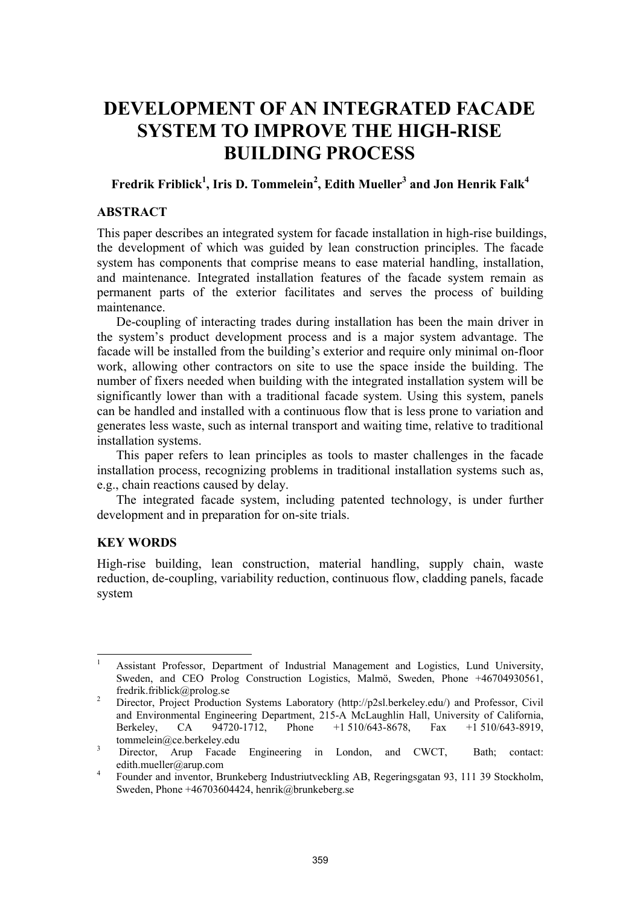# **DEVELOPMENT OF AN INTEGRATED FACADE SYSTEM TO IMPROVE THE HIGH-RISE BUILDING PROCESS**

# **Fredrik Friblick1 , Iris D. Tommelein<sup>2</sup> , Edith Mueller3 and Jon Henrik Falk<sup>4</sup>**

## **ABSTRACT**

This paper describes an integrated system for facade installation in high-rise buildings, the development of which was guided by lean construction principles. The facade system has components that comprise means to ease material handling, installation, and maintenance. Integrated installation features of the facade system remain as permanent parts of the exterior facilitates and serves the process of building maintenance.

De-coupling of interacting trades during installation has been the main driver in the system's product development process and is a major system advantage. The facade will be installed from the building's exterior and require only minimal on-floor work, allowing other contractors on site to use the space inside the building. The number of fixers needed when building with the integrated installation system will be significantly lower than with a traditional facade system. Using this system, panels can be handled and installed with a continuous flow that is less prone to variation and generates less waste, such as internal transport and waiting time, relative to traditional installation systems.

This paper refers to lean principles as tools to master challenges in the facade installation process, recognizing problems in traditional installation systems such as, e.g., chain reactions caused by delay.

The integrated facade system, including patented technology, is under further development and in preparation for on-site trials.

# **KEY WORDS**

l

High-rise building, lean construction, material handling, supply chain, waste reduction, de-coupling, variability reduction, continuous flow, cladding panels, facade system

<sup>1</sup> Assistant Professor, Department of Industrial Management and Logistics, Lund University, Sweden, and CEO Prolog Construction Logistics, Malmö, Sweden, Phone +46704930561, fredrik.friblick@prolog.se

Director, Project Production Systems Laboratory (http://p2sl.berkeley.edu/) and Professor, Civil and Environmental Engineering Department, 215-A McLaughlin Hall, University of California, Berkeley, CA 94720-1712, Phone +1 510/643-8678, Fax +1 510/643-8919, tommelein@ce.berkeley.edu

Director, Arup Facade Engineering in London, and CWCT, Bath; contact: edith.mueller@arup.com<br> $\frac{4}{\sqrt{2}}$  Equator and inventor. Br

Founder and inventor, Brunkeberg Industriutveckling AB, Regeringsgatan 93, 111 39 Stockholm, Sweden, Phone +46703604424, henrik@brunkeberg.se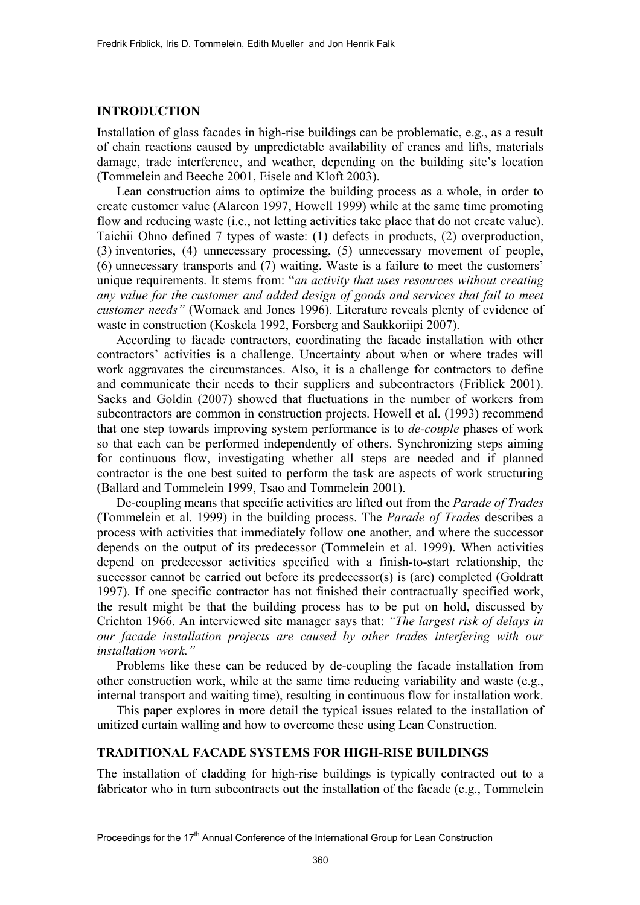## **INTRODUCTION**

Installation of glass facades in high-rise buildings can be problematic, e.g., as a result of chain reactions caused by unpredictable availability of cranes and lifts, materials damage, trade interference, and weather, depending on the building site's location (Tommelein and Beeche 2001, Eisele and Kloft 2003).

 Lean construction aims to optimize the building process as a whole, in order to create customer value (Alarcon 1997, Howell 1999) while at the same time promoting flow and reducing waste (i.e., not letting activities take place that do not create value). Taichii Ohno defined 7 types of waste: (1) defects in products, (2) overproduction, (3) inventories, (4) unnecessary processing, (5) unnecessary movement of people, (6) unnecessary transports and (7) waiting. Waste is a failure to meet the customers' unique requirements. It stems from: "*an activity that uses resources without creating any value for the customer and added design of goods and services that fail to meet customer needs"* (Womack and Jones 1996). Literature reveals plenty of evidence of waste in construction (Koskela 1992, Forsberg and Saukkoriipi 2007).

According to facade contractors, coordinating the facade installation with other contractors' activities is a challenge. Uncertainty about when or where trades will work aggravates the circumstances. Also, it is a challenge for contractors to define and communicate their needs to their suppliers and subcontractors (Friblick 2001). Sacks and Goldin (2007) showed that fluctuations in the number of workers from subcontractors are common in construction projects. Howell et al. (1993) recommend that one step towards improving system performance is to *de-couple* phases of work so that each can be performed independently of others. Synchronizing steps aiming for continuous flow, investigating whether all steps are needed and if planned contractor is the one best suited to perform the task are aspects of work structuring (Ballard and Tommelein 1999, Tsao and Tommelein 2001).

De-coupling means that specific activities are lifted out from the *Parade of Trades* (Tommelein et al. 1999) in the building process. The *Parade of Trades* describes a process with activities that immediately follow one another, and where the successor depends on the output of its predecessor (Tommelein et al. 1999). When activities depend on predecessor activities specified with a finish-to-start relationship, the successor cannot be carried out before its predecessor(s) is (are) completed (Goldratt 1997). If one specific contractor has not finished their contractually specified work, the result might be that the building process has to be put on hold, discussed by Crichton 1966. An interviewed site manager says that: *"The largest risk of delays in our facade installation projects are caused by other trades interfering with our installation work."*

Problems like these can be reduced by de-coupling the facade installation from other construction work, while at the same time reducing variability and waste (e.g., internal transport and waiting time), resulting in continuous flow for installation work.

This paper explores in more detail the typical issues related to the installation of unitized curtain walling and how to overcome these using Lean Construction.

#### **TRADITIONAL FACADE SYSTEMS FOR HIGH-RISE BUILDINGS**

The installation of cladding for high-rise buildings is typically contracted out to a fabricator who in turn subcontracts out the installation of the facade (e.g., Tommelein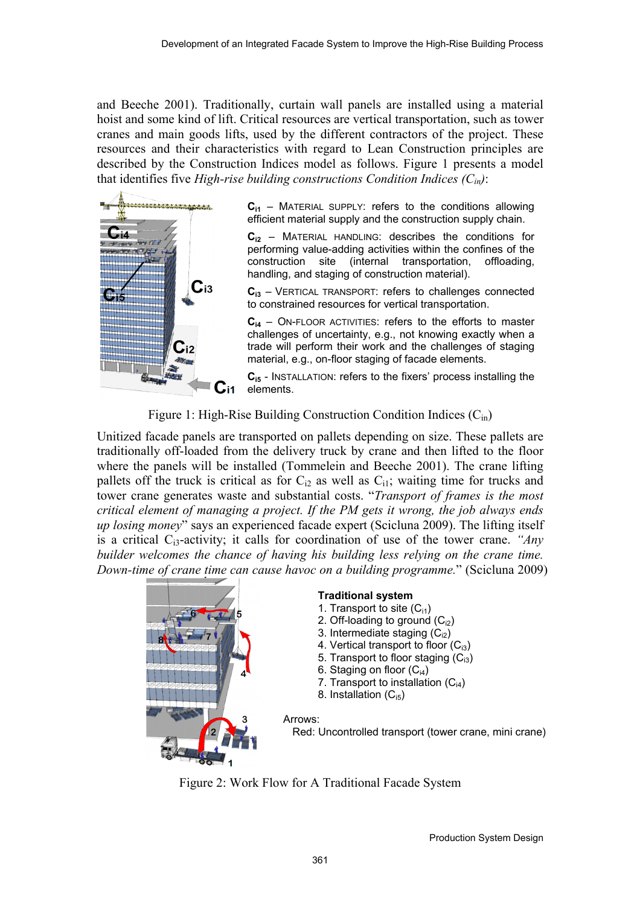and Beeche 2001). Traditionally, curtain wall panels are installed using a material hoist and some kind of lift. Critical resources are vertical transportation, such as tower cranes and main goods lifts, used by the different contractors of the project. These resources and their characteristics with regard to Lean Construction principles are described by the Construction Indices model as follows. Figure 1 presents a model that identifies five *High-rise building constructions Condition Indices*  $(C_{in})$ :



**Ci1** – MATERIAL SUPPLY: refers to the conditions allowing efficient material supply and the construction supply chain.

**Ci2** – MATERIAL HANDLING: describes the conditions for performing value-adding activities within the confines of the construction site (internal transportation, offloading, handling, and staging of construction material).

**Ci3** – VERTICAL TRANSPORT: refers to challenges connected to constrained resources for vertical transportation.

**Ci4** – ON-FLOOR ACTIVITIES: refers to the efforts to master challenges of uncertainty, e.g., not knowing exactly when a trade will perform their work and the challenges of staging material, e.g., on-floor staging of facade elements.

**Ci5** - INSTALLATION: refers to the fixers' process installing the elements.

Figure 1: High-Rise Building Construction Condition Indices  $(C_{in})$ 

Unitized facade panels are transported on pallets depending on size. These pallets are traditionally off-loaded from the delivery truck by crane and then lifted to the floor where the panels will be installed (Tommelein and Beeche 2001). The crane lifting pallets off the truck is critical as for  $C_{i2}$  as well as  $C_{i1}$ ; waiting time for trucks and tower crane generates waste and substantial costs. "*Transport of frames is the most critical element of managing a project. If the PM gets it wrong, the job always ends up losing money*" says an experienced facade expert (Scicluna 2009). The lifting itself is a critical Ci3-activity; it calls for coordination of use of the tower crane. *"Any builder welcomes the chance of having his building less relying on the crane time. Down-time of crane time can cause havoc on a building programme.*" (Scicluna 2009)



Figure 2: Work Flow for A Traditional Facade System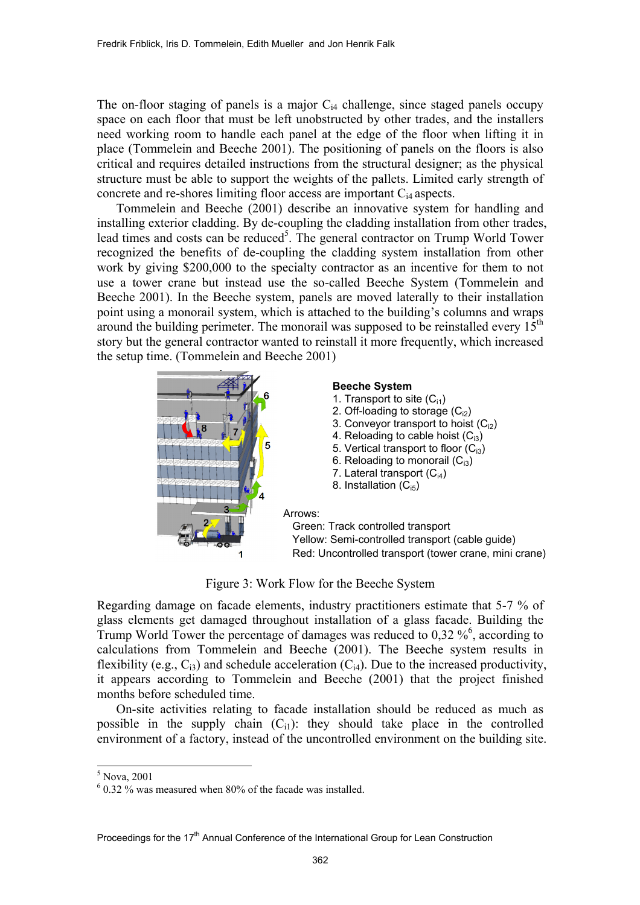The on-floor staging of panels is a major  $C_{i4}$  challenge, since staged panels occupy space on each floor that must be left unobstructed by other trades, and the installers need working room to handle each panel at the edge of the floor when lifting it in place (Tommelein and Beeche 2001). The positioning of panels on the floors is also critical and requires detailed instructions from the structural designer; as the physical structure must be able to support the weights of the pallets. Limited early strength of concrete and re-shores limiting floor access are important Ci4 aspects.

Tommelein and Beeche (2001) describe an innovative system for handling and installing exterior cladding. By de-coupling the cladding installation from other trades, lead times and costs can be reduced<sup>5</sup>. The general contractor on Trump World Tower recognized the benefits of de-coupling the cladding system installation from other work by giving \$200,000 to the specialty contractor as an incentive for them to not use a tower crane but instead use the so-called Beeche System (Tommelein and Beeche 2001). In the Beeche system, panels are moved laterally to their installation point using a monorail system, which is attached to the building's columns and wraps around the building perimeter. The monorail was supposed to be reinstalled every  $15<sup>th</sup>$ story but the general contractor wanted to reinstall it more frequently, which increased the setup time. (Tommelein and Beeche 2001)



Figure 3: Work Flow for the Beeche System

Regarding damage on facade elements, industry practitioners estimate that 5-7 % of glass elements get damaged throughout installation of a glass facade. Building the Trump World Tower the percentage of damages was reduced to  $0.32\%$ <sup>6</sup>, according to calculations from Tommelein and Beeche (2001). The Beeche system results in flexibility (e.g.,  $C_{i3}$ ) and schedule acceleration ( $C_{i4}$ ). Due to the increased productivity, it appears according to Tommelein and Beeche (2001) that the project finished months before scheduled time.

On-site activities relating to facade installation should be reduced as much as possible in the supply chain  $(C_{i1})$ : they should take place in the controlled environment of a factory, instead of the uncontrolled environment on the building site.

l

<sup>5</sup> Nova, 2001

 $6$  0.32 % was measured when 80% of the facade was installed.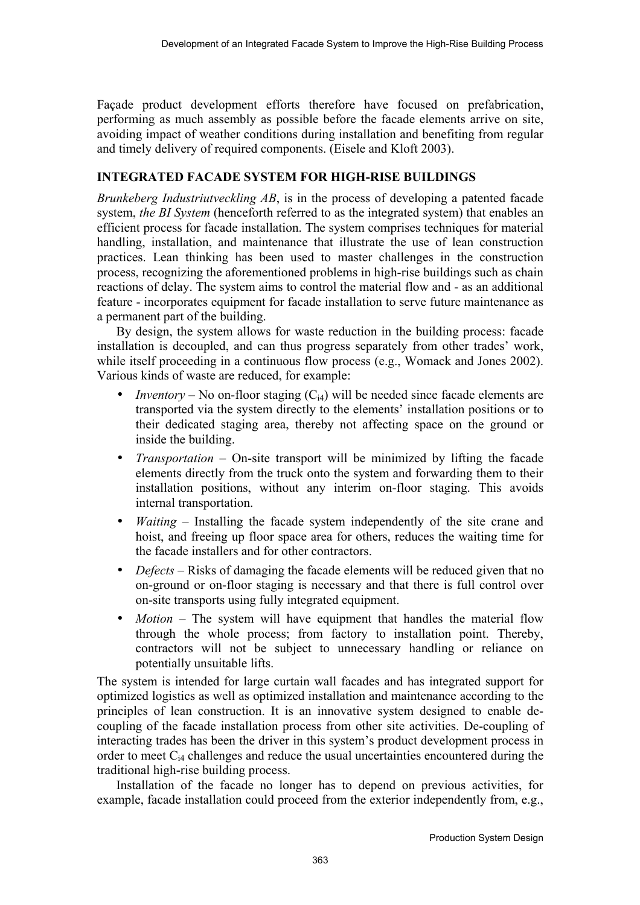Façade product development efforts therefore have focused on prefabrication, performing as much assembly as possible before the facade elements arrive on site, avoiding impact of weather conditions during installation and benefiting from regular and timely delivery of required components. (Eisele and Kloft 2003).

# **INTEGRATED FACADE SYSTEM FOR HIGH-RISE BUILDINGS**

*Brunkeberg Industriutveckling AB*, is in the process of developing a patented facade system, *the BI System* (henceforth referred to as the integrated system) that enables an efficient process for facade installation. The system comprises techniques for material handling, installation, and maintenance that illustrate the use of lean construction practices. Lean thinking has been used to master challenges in the construction process, recognizing the aforementioned problems in high-rise buildings such as chain reactions of delay. The system aims to control the material flow and - as an additional feature - incorporates equipment for facade installation to serve future maintenance as a permanent part of the building.

By design, the system allows for waste reduction in the building process: facade installation is decoupled, and can thus progress separately from other trades' work, while itself proceeding in a continuous flow process (e.g., Womack and Jones 2002). Various kinds of waste are reduced, for example:

- *Inventory* No on-floor staging  $(C_{i4})$  will be needed since facade elements are transported via the system directly to the elements' installation positions or to their dedicated staging area, thereby not affecting space on the ground or inside the building.
- *Transportation* On-site transport will be minimized by lifting the facade elements directly from the truck onto the system and forwarding them to their installation positions, without any interim on-floor staging. This avoids internal transportation.
- *Waiting* Installing the facade system independently of the site crane and hoist, and freeing up floor space area for others, reduces the waiting time for the facade installers and for other contractors.
- *Defects* Risks of damaging the facade elements will be reduced given that no on-ground or on-floor staging is necessary and that there is full control over on-site transports using fully integrated equipment.
- *Motion* The system will have equipment that handles the material flow through the whole process; from factory to installation point. Thereby, contractors will not be subject to unnecessary handling or reliance on potentially unsuitable lifts.

The system is intended for large curtain wall facades and has integrated support for optimized logistics as well as optimized installation and maintenance according to the principles of lean construction. It is an innovative system designed to enable decoupling of the facade installation process from other site activities. De-coupling of interacting trades has been the driver in this system's product development process in order to meet  $C_{i4}$  challenges and reduce the usual uncertainties encountered during the traditional high-rise building process.

Installation of the facade no longer has to depend on previous activities, for example, facade installation could proceed from the exterior independently from, e.g.,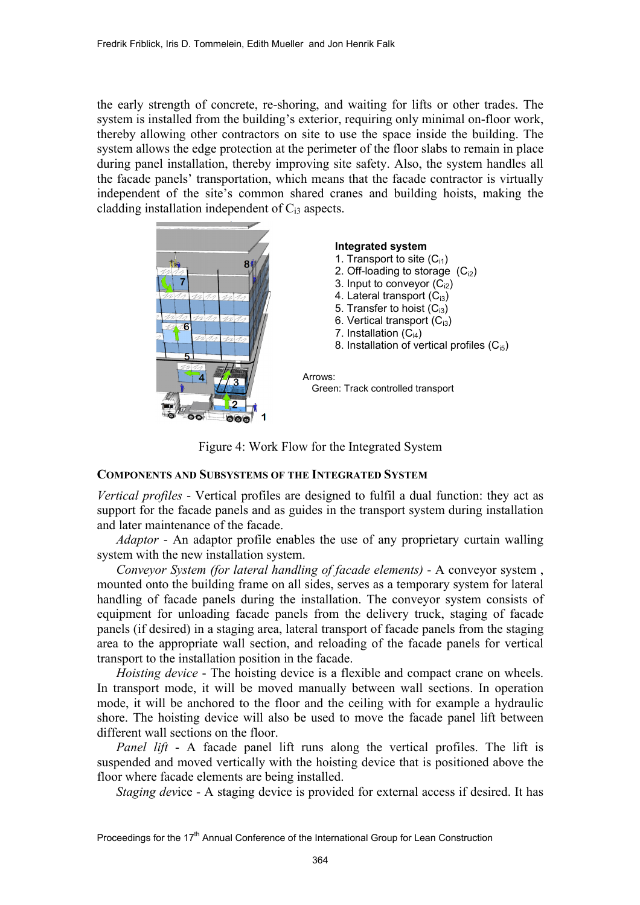the early strength of concrete, re-shoring, and waiting for lifts or other trades. The system is installed from the building's exterior, requiring only minimal on-floor work, thereby allowing other contractors on site to use the space inside the building. The system allows the edge protection at the perimeter of the floor slabs to remain in place during panel installation, thereby improving site safety. Also, the system handles all the facade panels' transportation, which means that the facade contractor is virtually independent of the site's common shared cranes and building hoists, making the cladding installation independent of  $C_{i3}$  aspects.



Figure 4: Work Flow for the Integrated System

## **COMPONENTS AND SUBSYSTEMS OF THE INTEGRATED SYSTEM**

*Vertical profiles* - Vertical profiles are designed to fulfil a dual function: they act as support for the facade panels and as guides in the transport system during installation and later maintenance of the facade.

*Adaptor* - An adaptor profile enables the use of any proprietary curtain walling system with the new installation system.

*Conveyor System (for lateral handling of facade elements)* - A conveyor system , mounted onto the building frame on all sides, serves as a temporary system for lateral handling of facade panels during the installation. The conveyor system consists of equipment for unloading facade panels from the delivery truck, staging of facade panels (if desired) in a staging area, lateral transport of facade panels from the staging area to the appropriate wall section, and reloading of the facade panels for vertical transport to the installation position in the facade.

*Hoisting device* - The hoisting device is a flexible and compact crane on wheels. In transport mode, it will be moved manually between wall sections. In operation mode, it will be anchored to the floor and the ceiling with for example a hydraulic shore. The hoisting device will also be used to move the facade panel lift between different wall sections on the floor.

*Panel lift* - A facade panel lift runs along the vertical profiles. The lift is suspended and moved vertically with the hoisting device that is positioned above the floor where facade elements are being installed.

*Staging dev*ice - A staging device is provided for external access if desired. It has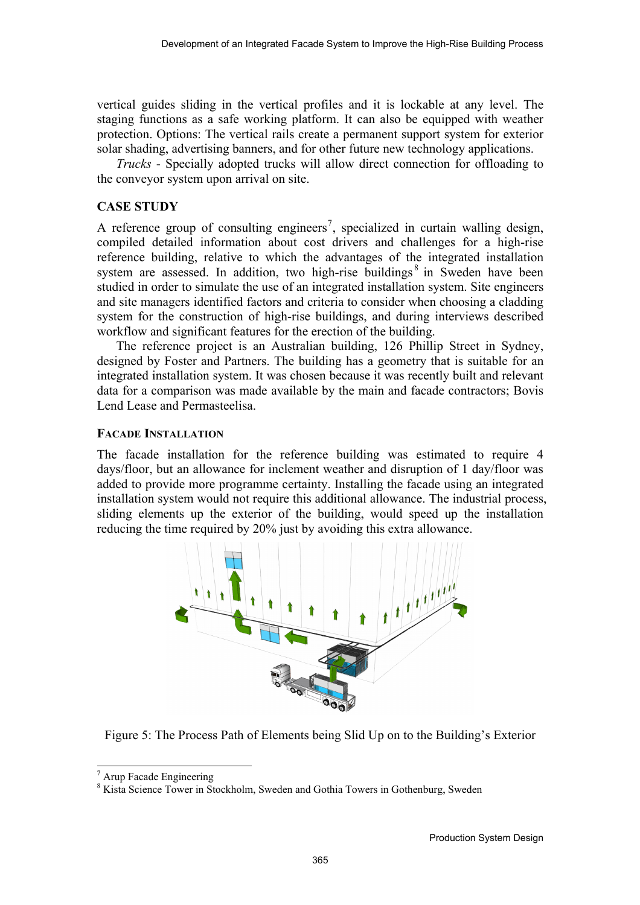vertical guides sliding in the vertical profiles and it is lockable at any level. The staging functions as a safe working platform. It can also be equipped with weather protection. Options: The vertical rails create a permanent support system for exterior solar shading, advertising banners, and for other future new technology applications.

*Trucks* - Specially adopted trucks will allow direct connection for offloading to the conveyor system upon arrival on site.

## **CASE STUDY**

A reference group of consulting engineers<sup>7</sup>, specialized in curtain walling design, compiled detailed information about cost drivers and challenges for a high-rise reference building, relative to which the advantages of the integrated installation system are assessed. In addition, two high-rise buildings<sup>8</sup> in Sweden have been studied in order to simulate the use of an integrated installation system. Site engineers and site managers identified factors and criteria to consider when choosing a cladding system for the construction of high-rise buildings, and during interviews described workflow and significant features for the erection of the building.

The reference project is an Australian building, 126 Phillip Street in Sydney, designed by Foster and Partners. The building has a geometry that is suitable for an integrated installation system. It was chosen because it was recently built and relevant data for a comparison was made available by the main and facade contractors; Bovis Lend Lease and Permasteelisa.

#### **FACADE INSTALLATION**

The facade installation for the reference building was estimated to require 4 days/floor, but an allowance for inclement weather and disruption of 1 day/floor was added to provide more programme certainty. Installing the facade using an integrated installation system would not require this additional allowance. The industrial process, sliding elements up the exterior of the building, would speed up the installation reducing the time required by 20% just by avoiding this extra allowance.



Figure 5: The Process Path of Elements being Slid Up on to the Building's Exterior

l

<sup>7</sup> Arup Facade Engineering

<sup>&</sup>lt;sup>8</sup> Kista Science Tower in Stockholm, Sweden and Gothia Towers in Gothenburg, Sweden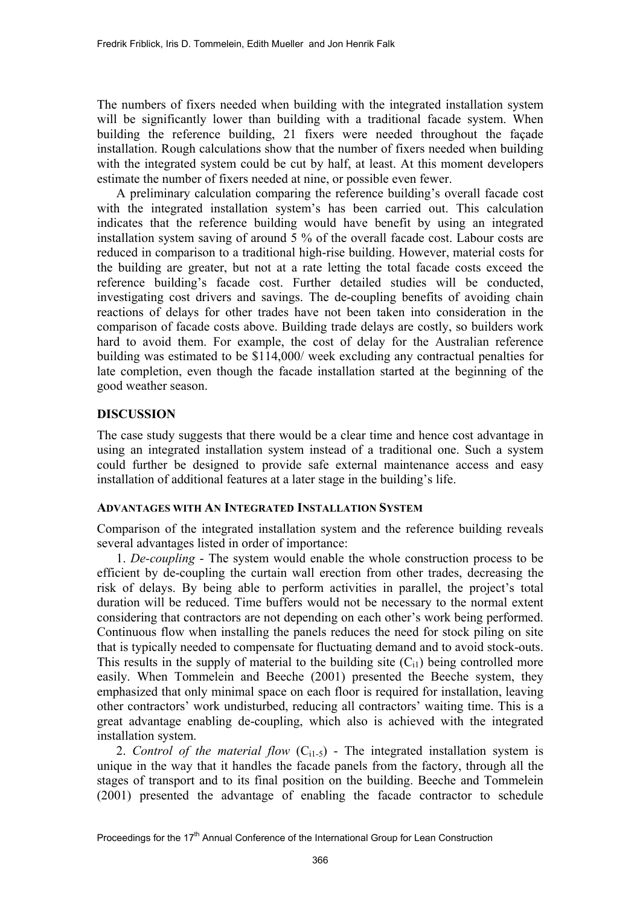The numbers of fixers needed when building with the integrated installation system will be significantly lower than building with a traditional facade system. When building the reference building, 21 fixers were needed throughout the façade installation. Rough calculations show that the number of fixers needed when building with the integrated system could be cut by half, at least. At this moment developers estimate the number of fixers needed at nine, or possible even fewer.

A preliminary calculation comparing the reference building's overall facade cost with the integrated installation system's has been carried out. This calculation indicates that the reference building would have benefit by using an integrated installation system saving of around 5 % of the overall facade cost. Labour costs are reduced in comparison to a traditional high-rise building. However, material costs for the building are greater, but not at a rate letting the total facade costs exceed the reference building's facade cost. Further detailed studies will be conducted, investigating cost drivers and savings. The de-coupling benefits of avoiding chain reactions of delays for other trades have not been taken into consideration in the comparison of facade costs above. Building trade delays are costly, so builders work hard to avoid them. For example, the cost of delay for the Australian reference building was estimated to be \$114,000/ week excluding any contractual penalties for late completion, even though the facade installation started at the beginning of the good weather season.

# **DISCUSSION**

The case study suggests that there would be a clear time and hence cost advantage in using an integrated installation system instead of a traditional one. Such a system could further be designed to provide safe external maintenance access and easy installation of additional features at a later stage in the building's life.

#### **ADVANTAGES WITH AN INTEGRATED INSTALLATION SYSTEM**

Comparison of the integrated installation system and the reference building reveals several advantages listed in order of importance:

1. *De-coupling* - The system would enable the whole construction process to be efficient by de-coupling the curtain wall erection from other trades, decreasing the risk of delays. By being able to perform activities in parallel, the project's total duration will be reduced. Time buffers would not be necessary to the normal extent considering that contractors are not depending on each other's work being performed. Continuous flow when installing the panels reduces the need for stock piling on site that is typically needed to compensate for fluctuating demand and to avoid stock-outs. This results in the supply of material to the building site  $(C_{i1})$  being controlled more easily. When Tommelein and Beeche (2001) presented the Beeche system, they emphasized that only minimal space on each floor is required for installation, leaving other contractors' work undisturbed, reducing all contractors' waiting time. This is a great advantage enabling de-coupling, which also is achieved with the integrated installation system.

2. *Control of the material flow*  $(C_{i1-5})$  - The integrated installation system is unique in the way that it handles the facade panels from the factory, through all the stages of transport and to its final position on the building. Beeche and Tommelein (2001) presented the advantage of enabling the facade contractor to schedule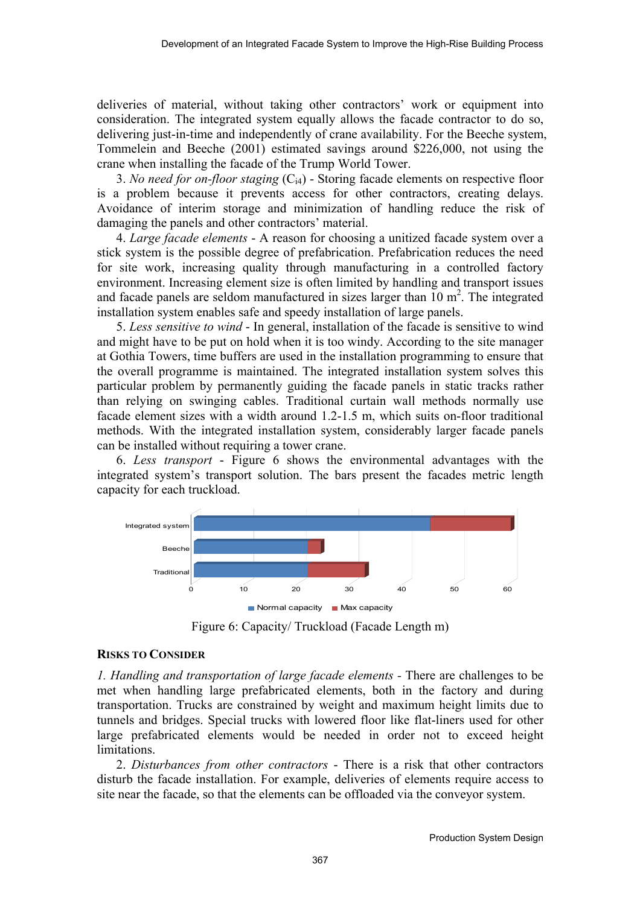deliveries of material, without taking other contractors' work or equipment into consideration. The integrated system equally allows the facade contractor to do so, delivering just-in-time and independently of crane availability. For the Beeche system, Tommelein and Beeche (2001) estimated savings around \$226,000, not using the crane when installing the facade of the Trump World Tower.

3. *No need for on-floor staging* (Ci4) - Storing facade elements on respective floor is a problem because it prevents access for other contractors, creating delays. Avoidance of interim storage and minimization of handling reduce the risk of damaging the panels and other contractors' material.

4. *Large facade elements* - A reason for choosing a unitized facade system over a stick system is the possible degree of prefabrication. Prefabrication reduces the need for site work, increasing quality through manufacturing in a controlled factory environment. Increasing element size is often limited by handling and transport issues and facade panels are seldom manufactured in sizes larger than  $10 \text{ m}^2$ . The integrated installation system enables safe and speedy installation of large panels.

5. *Less sensitive to wind* - In general, installation of the facade is sensitive to wind and might have to be put on hold when it is too windy. According to the site manager at Gothia Towers, time buffers are used in the installation programming to ensure that the overall programme is maintained. The integrated installation system solves this particular problem by permanently guiding the facade panels in static tracks rather than relying on swinging cables. Traditional curtain wall methods normally use facade element sizes with a width around 1.2-1.5 m, which suits on-floor traditional methods. With the integrated installation system, considerably larger facade panels can be installed without requiring a tower crane.

6. *Less transport* - Figure 6 shows the environmental advantages with the integrated system's transport solution. The bars present the facades metric length capacity for each truckload.



Figure 6: Capacity/ Truckload (Facade Length m)

# **RISKS TO CONSIDER**

*1. Handling and transportation of large facade elements -* There are challenges to be met when handling large prefabricated elements, both in the factory and during transportation. Trucks are constrained by weight and maximum height limits due to tunnels and bridges. Special trucks with lowered floor like flat-liners used for other large prefabricated elements would be needed in order not to exceed height limitations.

2. *Disturbances from other contractors* - There is a risk that other contractors disturb the facade installation. For example, deliveries of elements require access to site near the facade, so that the elements can be offloaded via the conveyor system.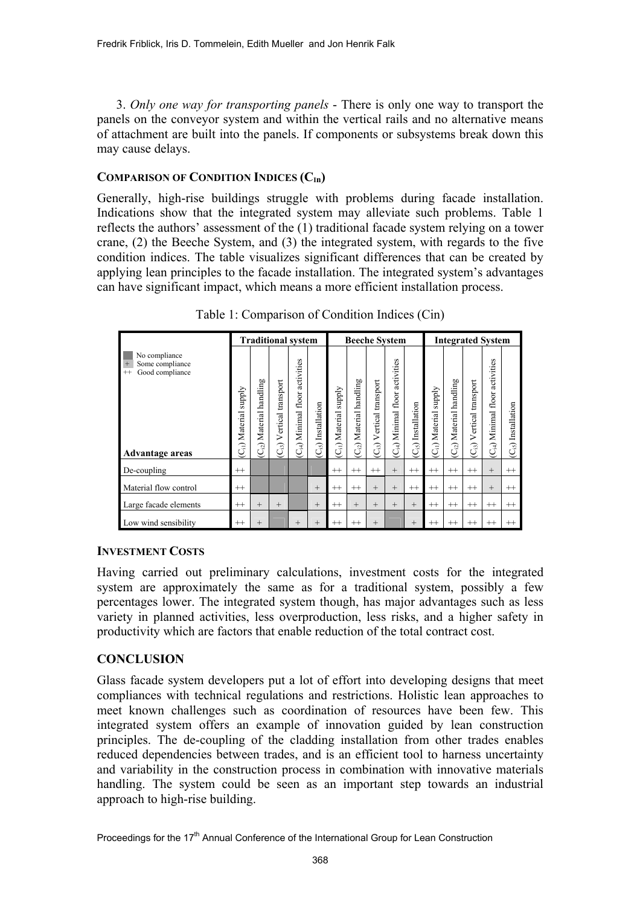3. *Only one way for transporting panels* - There is only one way to transport the panels on the conveyor system and within the vertical rails and no alternative means of attachment are built into the panels. If components or subsystems break down this may cause delays.

## COMPARISON OF CONDITION INDICES (C<sub>In</sub>)

Generally, high-rise buildings struggle with problems during facade installation. Indications show that the integrated system may alleviate such problems. Table 1 reflects the authors' assessment of the (1) traditional facade system relying on a tower crane, (2) the Beeche System, and (3) the integrated system, with regards to the five condition indices. The table visualizes significant differences that can be created by applying lean principles to the facade installation. The integrated system's advantages can have significant impact, which means a more efficient installation process.

|                                                                                                 | <b>Traditional system</b>                    |                                           |                                |                                                |                          | <b>Beeche System</b>                       |                                         |                                             |                                                |                              | <b>Integrated System</b>                     |                                        |                                            |                                                          |                                   |
|-------------------------------------------------------------------------------------------------|----------------------------------------------|-------------------------------------------|--------------------------------|------------------------------------------------|--------------------------|--------------------------------------------|-----------------------------------------|---------------------------------------------|------------------------------------------------|------------------------------|----------------------------------------------|----------------------------------------|--------------------------------------------|----------------------------------------------------------|-----------------------------------|
| No compliance<br>Some compliance<br>$+$<br>Good compliance<br>$^{++}$<br><b>Advantage areas</b> | <b>Alddns</b><br>(C <sub>il</sub> ) Material | handling<br>Material<br>(C <sub>i</sub> ) | transport<br>Vertical<br>$G_3$ | activities<br>floor<br>Minimal<br>$C_{\rm i4}$ | Installation<br>$C_{i5}$ | <b>Alddns</b><br>Material<br>$\widehat{G}$ | handling<br>Material<br>C <sub>12</sub> | transport<br>Vertical<br>$\widehat{C}_{i3}$ | activities<br>floor<br>Minimal<br>$C_{\rm id}$ | Installation<br>$\rm C_{i5}$ | <b>Alddns</b><br>(C <sub>il</sub> ) Material | handling<br>Material<br>C <sub>2</sub> | transport<br>Vertical<br>$\widehat{C}_{i}$ | S<br>activitie<br>floor<br>Minimal<br>$\widehat{C}_{i4}$ | Installation<br>(C <sub>i</sub> ) |
| De-coupling                                                                                     | $^{++}$                                      |                                           |                                |                                                |                          | $^{++}$                                    | $^{++}$                                 | $^{++}$                                     | $^{+}$                                         | $^{++}$                      | $^{++}$                                      | $^{++}$                                | $^{++}$                                    | $^{+}$                                                   | $^{++}$                           |
| Material flow control                                                                           | $^{++}$                                      |                                           |                                |                                                | $^{+}$                   | $^{++}$                                    | $^{++}$                                 | $^{+}$                                      | $^{+}$                                         | $^{++}$                      | $^{++}$                                      | $^{++}$                                | $^{++}$                                    | $^{+}$                                                   | $^{++}$                           |
| Large facade elements                                                                           | $^{++}$                                      | $^{+}$                                    | $^{+}$                         |                                                | $^{+}$                   | $^{++}$                                    | $^{+}$                                  | $^{+}$                                      | $^{+}$                                         | $+$                          | $^{++}$                                      | $^{++}$                                | $^{++}$                                    | $^{++}$                                                  | $^{++}$                           |
| Low wind sensibility                                                                            | $^{++}$                                      | $^{+}$                                    |                                | $^{+}$                                         | $^{+}$                   | $^{++}$                                    | $^{++}$                                 | $^{+}$                                      |                                                | $+$                          | $^{++}$                                      | $^{++}$                                | $^{++}$                                    | $^{++}$                                                  | $^{++}$                           |

Table 1: Comparison of Condition Indices (Cin)

## **INVESTMENT COSTS**

Having carried out preliminary calculations, investment costs for the integrated system are approximately the same as for a traditional system, possibly a few percentages lower. The integrated system though, has major advantages such as less variety in planned activities, less overproduction, less risks, and a higher safety in productivity which are factors that enable reduction of the total contract cost.

# **CONCLUSION**

Glass facade system developers put a lot of effort into developing designs that meet compliances with technical regulations and restrictions. Holistic lean approaches to meet known challenges such as coordination of resources have been few. This integrated system offers an example of innovation guided by lean construction principles. The de-coupling of the cladding installation from other trades enables reduced dependencies between trades, and is an efficient tool to harness uncertainty and variability in the construction process in combination with innovative materials handling. The system could be seen as an important step towards an industrial approach to high-rise building.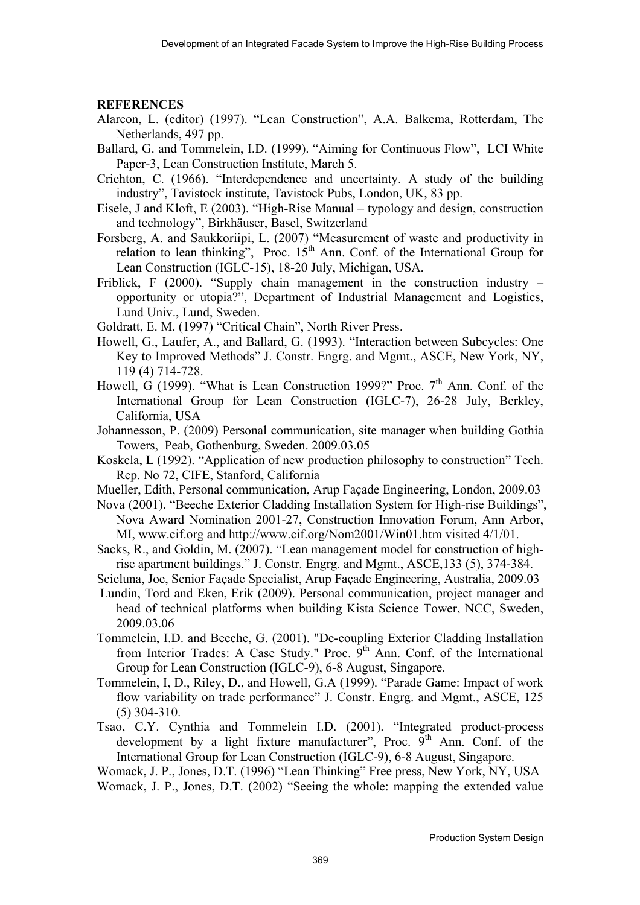## **REFERENCES**

- Alarcon, L. (editor) (1997). "Lean Construction", A.A. Balkema, Rotterdam, The Netherlands, 497 pp.
- Ballard, G. and Tommelein, I.D. (1999). "Aiming for Continuous Flow", LCI White Paper-3, Lean Construction Institute, March 5.
- Crichton, C. (1966). "Interdependence and uncertainty. A study of the building industry", Tavistock institute, Tavistock Pubs, London, UK, 83 pp.
- Eisele, J and Kloft, E (2003). "High-Rise Manual typology and design, construction and technology", Birkhäuser, Basel, Switzerland
- Forsberg, A. and Saukkoriipi, L. (2007) "Measurement of waste and productivity in relation to lean thinking", Proc.  $15<sup>th</sup>$  Ann. Conf. of the International Group for Lean Construction (IGLC-15), 18-20 July, Michigan, USA.
- Friblick, F (2000). "Supply chain management in the construction industry opportunity or utopia?", Department of Industrial Management and Logistics, Lund Univ., Lund, Sweden.
- Goldratt, E. M. (1997) "Critical Chain", North River Press.
- Howell, G., Laufer, A., and Ballard, G. (1993). "Interaction between Subcycles: One Key to Improved Methods" J. Constr. Engrg. and Mgmt., ASCE, New York, NY, 119 (4) 714-728.
- Howell, G (1999). "What is Lean Construction 1999?" Proc.  $7<sup>th</sup>$  Ann. Conf. of the International Group for Lean Construction (IGLC-7), 26-28 July, Berkley, California, USA
- Johannesson, P. (2009) Personal communication, site manager when building Gothia Towers, Peab, Gothenburg, Sweden. 2009.03.05
- Koskela, L (1992). "Application of new production philosophy to construction" Tech. Rep. No 72, CIFE, Stanford, California
- Mueller, Edith, Personal communication, Arup Façade Engineering, London, 2009.03
- Nova (2001). "Beeche Exterior Cladding Installation System for High-rise Buildings", Nova Award Nomination 2001-27, Construction Innovation Forum, Ann Arbor, MI, www.cif.org and http://www.cif.org/Nom2001/Win01.htm visited 4/1/01.
- Sacks, R., and Goldin, M. (2007). "Lean management model for construction of highrise apartment buildings." J. Constr. Engrg. and Mgmt., ASCE,133 (5), 374-384.
- Scicluna, Joe, Senior Façade Specialist, Arup Façade Engineering, Australia, 2009.03 Lundin, Tord and Eken, Erik (2009). Personal communication, project manager and head of technical platforms when building Kista Science Tower, NCC, Sweden, 2009.03.06
- Tommelein, I.D. and Beeche, G. (2001). "De-coupling Exterior Cladding Installation from Interior Trades: A Case Study." Proc.  $9<sup>th</sup>$  Ann. Conf. of the International Group for Lean Construction (IGLC-9), 6-8 August, Singapore.
- Tommelein, I, D., Riley, D., and Howell, G.A (1999). "Parade Game: Impact of work flow variability on trade performance" J. Constr. Engrg. and Mgmt., ASCE, 125 (5) 304-310.
- Tsao, C.Y. Cynthia and Tommelein I.D. (2001). "Integrated product-process development by a light fixture manufacturer", Proc. 9<sup>th</sup> Ann. Conf. of the International Group for Lean Construction (IGLC-9), 6-8 August, Singapore.

Womack, J. P., Jones, D.T. (1996) "Lean Thinking" Free press, New York, NY, USA Womack, J. P., Jones, D.T. (2002) "Seeing the whole: mapping the extended value